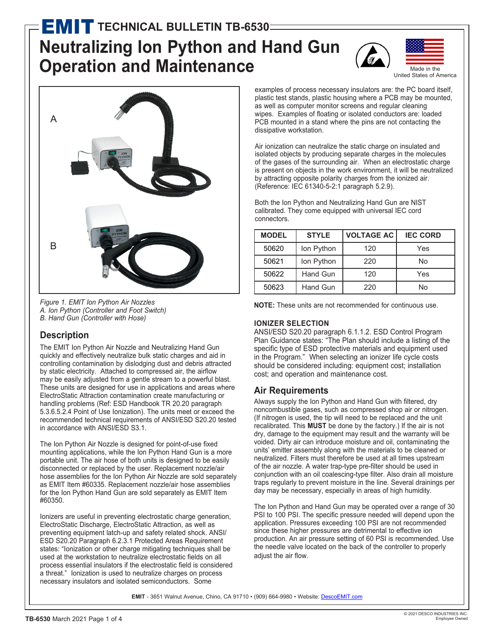# **Neutralizing Ion Python and Hand Gun Operation and Maintenance MIT TECHNICAL BULLETIN TB-6530**





*Figure 1. EMIT Ion Python Air Nozzles A. Ion Python (Controller and Foot Switch) B. Hand Gun (Controller with Hose)*

#### **Description**

The EMIT Ion Python Air Nozzle and Neutralizing Hand Gun quickly and effectively neutralize bulk static charges and aid in controlling contamination by dislodging dust and debris attracted by static electricity. Attached to compressed air, the airflow may be easily adjusted from a gentle stream to a powerful blast. These units are designed for use in applications and areas where ElectroStatic Attraction contamination create manufacturing or handling problems (Ref: ESD Handbook TR 20.20 paragraph 5.3.6.5.2.4 Point of Use Ionization). The units meet or exceed the recommended technical requirements of ANSI/ESD S20.20 tested in accordance with ANSI/ESD S3.1.

The Ion Python Air Nozzle is designed for point-of-use fixed mounting applications, while the Ion Python Hand Gun is a more portable unit. The air hose of both units is designed to be easily disconnected or replaced by the user. Replacement nozzle/air hose assemblies for the Ion Python Air Nozzle are sold separately as EMIT Item #60335. Replacement nozzle/air hose assemblies for the Ion Python Hand Gun are sold separately as EMIT Item #60350.

Ionizers are useful in preventing electrostatic charge generation, ElectroStatic Discharge, ElectroStatic Attraction, as well as preventing equipment latch-up and safety related shock. ANSI/ ESD S20.20 Paragraph 6.2.3.1 Protected Areas Requirement states: "Ionization or other charge mitigating techniques shall be used at the workstation to neutralize electrostatic fields on all process essential insulators if the electrostatic field is considered a threat." Ionization is used to neutralize charges on process necessary insulators and isolated semiconductors. Some

examples of process necessary insulators are: the PC board itself, plastic test stands, plastic housing where a PCB may be mounted, as well as computer monitor screens and regular cleaning wipes. Examples of floating or isolated conductors are: loaded PCB mounted in a stand where the pins are not contacting the dissipative workstation.

Air ionization can neutralize the static charge on insulated and isolated objects by producing separate charges in the molecules of the gases of the surrounding air. When an electrostatic charge is present on objects in the work environment, it will be neutralized by attracting opposite polarity charges from the ionized air. (Reference: IEC 61340-5-2:1 paragraph 5.2.9).

Both the Ion Python and Neutralizing Hand Gun are NIST calibrated. They come equipped with universal IEC cord connectors.

| <b>MODEL</b> | <b>STYLE</b> | <b>VOLTAGE AC</b> | <b>IEC CORD</b> |
|--------------|--------------|-------------------|-----------------|
| 50620        | Ion Python   | 120               | Yes             |
| 50621        | Ion Python   | 220               | No              |
| 50622        | Hand Gun     | 120               | Yes             |
| 50623        | Hand Gun     | 220               | Nο              |

**NOTE:** These units are not recommended for continuous use.

#### **IONIZER SELECTION**

ANSI/ESD S20.20 paragraph 6.1.1.2. ESD Control Program Plan Guidance states: "The Plan should include a listing of the specific type of ESD protective materials and equipment used in the Program." When selecting an ionizer life cycle costs should be considered including: equipment cost; installation cost; and operation and maintenance cost.

#### **Air Requirements**

Always supply the Ion Python and Hand Gun with filtered, dry noncombustible gases, such as compressed shop air or nitrogen. (If nitrogen is used, the tip will need to be replaced and the unit recalibrated. This **MUST** be done by the factory.) If the air is not dry, damage to the equipment may result and the warranty will be voided. Dirty air can introduce moisture and oil, contaminating the units' emitter assembly along with the materials to be cleaned or neutralized. Filters must therefore be used at all times upstream of the air nozzle. A water trap-type pre-filter should be used in conjunction with an oil coalescing-type filter. Also drain all moisture traps regularly to prevent moisture in the line. Several drainings per day may be necessary, especially in areas of high humidity.

The Ion Python and Hand Gun may be operated over a range of 30 PSI to 100 PSI. The specific pressure needed will depend upon the application. Pressures exceeding 100 PSI are not recommended since these higher pressures are detrimental to effective ion production. An air pressure setting of 60 PSI is recommended. Use the needle valve located on the back of the controller to properly adjust the air flow.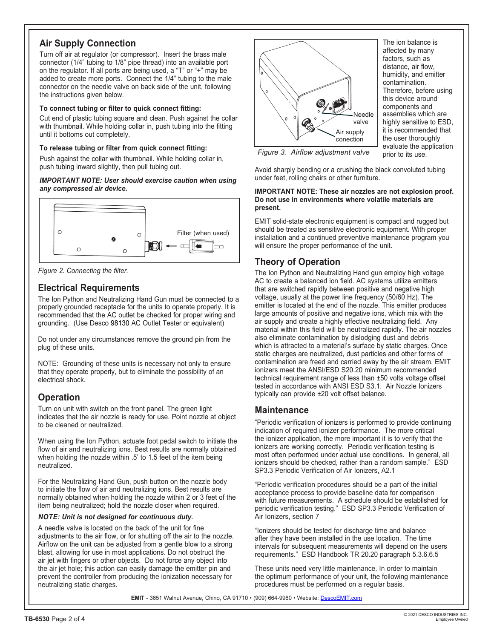## **Air Supply Connection**

Turn off air at regulator (or compressor). Insert the brass male connector (1/4" tubing to 1/8" pipe thread) into an available port on the regulator. If all ports are being used, a "T" or "+" may be added to create more ports. Connect the 1/4" tubing to the male connector on the needle valve on back side of the unit, following the instructions given below.

#### **To connect tubing or filter to quick connect fitting:**

Cut end of plastic tubing square and clean. Push against the collar with thumbnail. While holding collar in, push tubing into the fitting until it bottoms out completely.

#### **To release tubing or filter from quick connect fitting:**

Push against the collar with thumbnail. While holding collar in, push tubing inward slightly, then pull tubing out.

#### *IMPORTANT NOTE: User should exercise caution when using any compressed air device.*



*Figure 2. Connecting the filter.*

## **Electrical Requirements**

The Ion Python and Neutralizing Hand Gun must be connected to a properly grounded receptacle for the units to operate properly. It is recommended that the AC outlet be checked for proper wiring and grounding. (Use Desco 98130 AC Outlet Tester or equivalent)

Do not under any circumstances remove the ground pin from the plug of these units.

NOTE: Grounding of these units is necessary not only to ensure that they operate properly, but to eliminate the possibility of an electrical shock.

## **Operation**

Turn on unit with switch on the front panel. The green light indicates that the air nozzle is ready for use. Point nozzle at object to be cleaned or neutralized.

When using the Ion Python, actuate foot pedal switch to initiate the flow of air and neutralizing ions. Best results are normally obtained when holding the nozzle within .5' to 1.5 feet of the item being neutralized.

For the Neutralizing Hand Gun, push button on the nozzle body to initiate the flow of air and neutralizing ions. Best results are normally obtained when holding the nozzle within 2 or 3 feet of the item being neutralized; hold the nozzle closer when required.

#### *NOTE: Unit is not designed for continuous duty.*

A needle valve is located on the back of the unit for fine adjustments to the air flow, or for shutting off the air to the nozzle. Airflow on the unit can be adjusted from a gentle blow to a strong blast, allowing for use in most applications. Do not obstruct the air jet with fingers or other objects. Do not force any object into the air jet hole; this action can easily damage the emitter pin and prevent the controller from producing the ionization necessary for neutralizing static charges.



The ion balance is affected by many factors, such as distance, air flow, humidity, and emitter contamination. Therefore, before using this device around components and assemblies which are highly sensitive to ESD. it is recommended that the user thoroughly evaluate the application prior to its use.

*Figure 3. Airflow adjustment valve*

Avoid sharply bending or a crushing the black convoluted tubing under feet, rolling chairs or other furniture.

#### **IMPORTANT NOTE: These air nozzles are not explosion proof. Do not use in environments where volatile materials are present.**

EMIT solid-state electronic equipment is compact and rugged but should be treated as sensitive electronic equipment. With proper installation and a continued preventive maintenance program you will ensure the proper performance of the unit.

## **Theory of Operation**

The Ion Python and Neutralizing Hand gun employ high voltage AC to create a balanced ion field. AC systems utilize emitters that are switched rapidly between positive and negative high voltage, usually at the power line frequency (50/60 Hz). The emitter is located at the end of the nozzle. This emitter produces large amounts of positive and negative ions, which mix with the air supply and create a highly effective neutralizing field. Any material within this field will be neutralized rapidly. The air nozzles also eliminate contamination by dislodging dust and debris which is attracted to a material's surface by static charges. Once static charges are neutralized, dust particles and other forms of contamination are freed and carried away by the air stream. EMIT ionizers meet the ANSI/ESD S20.20 minimum recommended technical requirement range of less than ±50 volts voltage offset tested in accordance with ANSI ESD S3.1. Air Nozzle Ionizers typically can provide ±20 volt offset balance.

#### **Maintenance**

"Periodic verification of ionizers is performed to provide continuing indication of required ionizer performance. The more critical the ionizer application, the more important it is to verify that the ionizers are working correctly. Periodic verification testing is most often performed under actual use conditions. In general, all ionizers should be checked, rather than a random sample." ESD SP3.3 Periodic Verification of Air Ionizers, A2.1

"Periodic verification procedures should be a part of the initial acceptance process to provide baseline data for comparison with future measurements. A schedule should be established for periodic verification testing." ESD SP3.3 Periodic Verification of Air Ionizers, section 7

"Ionizers should be tested for discharge time and balance after they have been installed in the use location. The time intervals for subsequent measurements will depend on the users requirements." ESD Handbook TR 20.20 paragraph 5.3.6.6.5

These units need very little maintenance. In order to maintain the optimum performance of your unit, the following maintenance procedures must be performed on a regular basis.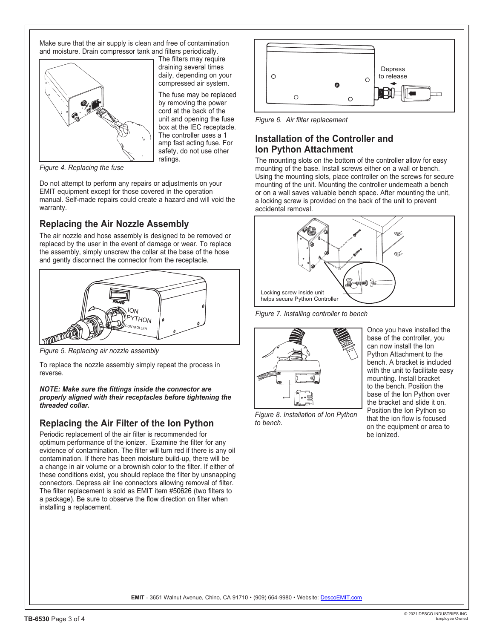Make sure that the air supply is clean and free of contamination and moisture. Drain compressor tank and filters periodically.



The filters may require draining several times daily, depending on your compressed air system.

The fuse may be replaced by removing the power cord at the back of the unit and opening the fuse box at the IEC receptacle. The controller uses a 1 amp fast acting fuse. For safety, do not use other ratings.

*Figure 4. Replacing the fuse*

Do not attempt to perform any repairs or adjustments on your EMIT equipment except for those covered in the operation manual. Self-made repairs could create a hazard and will void the warranty.

## **Replacing the Air Nozzle Assembly**

The air nozzle and hose assembly is designed to be removed or replaced by the user in the event of damage or wear. To replace the assembly, simply unscrew the collar at the base of the hose and gently disconnect the connector from the receptacle.



*Figure 5. Replacing air nozzle assembly*

To replace the nozzle assembly simply repeat the process in reverse.

*NOTE: Make sure the fittings inside the connector are properly aligned with their receptacles before tightening the threaded collar.*

## **Replacing the Air Filter of the Ion Python**

Periodic replacement of the air filter is recommended for optimum performance of the ionizer. Examine the filter for any evidence of contamination. The filter will turn red if there is any oil contamination. If there has been moisture build-up, there will be a change in air volume or a brownish color to the filter. If either of these conditions exist, you should replace the filter by unsnapping connectors. Depress air line connectors allowing removal of filter. The filter replacement is sold as EMIT item #50626 (two filters to a package). Be sure to observe the flow direction on filter when installing a replacement.



*Figure 6. Air filter replacement*

#### **Installation of the Controller and Ion Python Attachment**

The mounting slots on the bottom of the controller allow for easy mounting of the base. Install screws either on a wall or bench. Using the mounting slots, place controller on the screws for secure mounting of the unit. Mounting the controller underneath a bench or on a wall saves valuable bench space. After mounting the unit, a locking screw is provided on the back of the unit to prevent accidental removal.



*Figure 7. Installing controller to bench*



*Figure 8. Installation of Ion Python to bench.*

Once you have installed the base of the controller, you can now install the Ion Python Attachment to the bench. A bracket is included with the unit to facilitate easy mounting. Install bracket to the bench. Position the base of the Ion Python over the bracket and slide it on. Position the Ion Python so that the ion flow is focused on the equipment or area to be ionized.